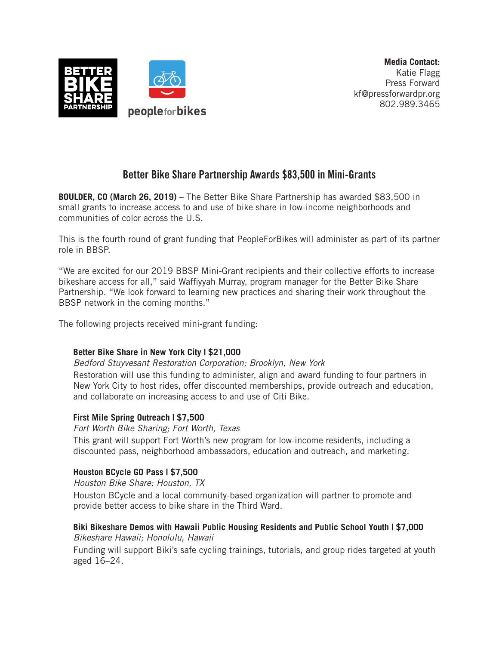

# Better Bike Share Partnership Awards \$83,500 in Mini-Grants

**BOULDER, CO (March 26, 2019)** – The Better Bike Share Partnership has awarded \$83,500 in small grants to increase access to and use of bike share in low-income neighborhoods and communities of color across the U.S.

This is the fourth round of grant funding that PeopleForBikes will administer as part of its partner role in BBSP.

"We are excited for our 2019 BBSP Mini-Grant recipients and their collective efforts to increase bikeshare access for all," said Waffiyyah Murray, program manager for the Better Bike Share Partnership. "We look forward to learning new practices and sharing their work throughout the BBSP network in the coming months."

The following projects received mini-grant funding:

## **Better Bike Share in New York City | \$21,000**

*Bedford Stuyvesant Restoration Corporation; Brooklyn, New York*

Restoration will use this funding to administer, align and award funding to four partners in New York City to host rides, offer discounted memberships, provide outreach and education, and collaborate on increasing access to and use of Citi Bike.

#### **First Mile Spring Outreach | \$7,500**

*Fort Worth Bike Sharing; Fort Worth, Texas*

This grant will support Fort Worth's new program for low-income residents, including a discounted pass, neighborhood ambassadors, education and outreach, and marketing.

## **Houston BCycle GO Pass | \$7,500**

*Houston Bike Share; Houston, TX*

Houston BCycle and a local community-based organization will partner to promote and provide better access to bike share in the Third Ward.

#### **Biki Bikeshare Demos with Hawaii Public Housing Residents and Public School Youth | \$7,000** *Bikeshare Hawaii; Honolulu, Hawaii*

Funding will support Biki's safe cycling trainings, tutorials, and group rides targeted at youth aged 16–24.